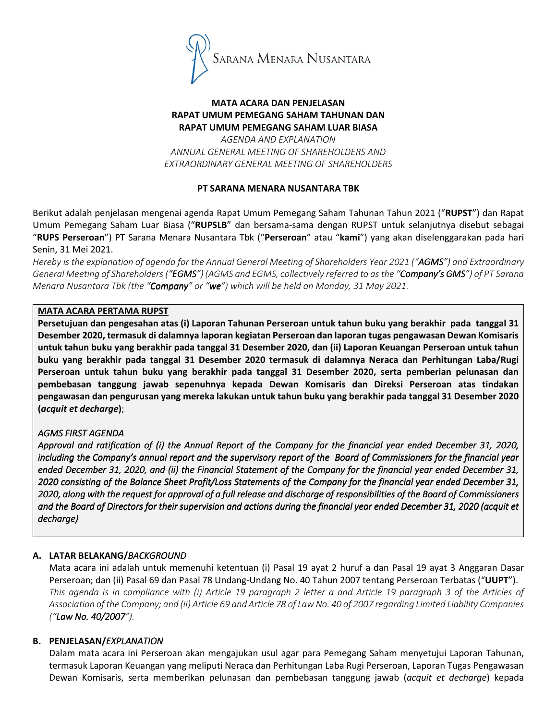

## MATA ACARA DAN PENJELASAN RAPAT UMUM PEMEGANG SAHAM TAHUNAN DAN RAPAT UMUM PEMEGANG SAHAM LUAR BIASA

AGENDA AND EXPLANATION ANNUAL GENERAL MEETING OF SHAREHOLDERS AND EXTRAORDINARY GENERAL MEETING OF SHAREHOLDERS

## PT SARANA MENARA NUSANTARA TBK

Berikut adalah penjelasan mengenai agenda Rapat Umum Pemegang Saham Tahunan Tahun 2021 ("RUPST") dan Rapat Umum Pemegang Saham Luar Biasa ("RUPSLB" dan bersama-sama dengan RUPST untuk selanjutnya disebut sebagai "RUPS Perseroan") PT Sarana Menara Nusantara Tbk ("Perseroan" atau "kami") yang akan diselenggarakan pada hari Senin, 31 Mei 2021.

Hereby is the explanation of agenda for the Annual General Meeting of Shareholders Year 2021 ("**AGMS**") and Extraordinary General Meeting of Shareholders ("EGMS") (AGMS and EGMS, collectively referred to as the "Company's GMS") of PT Sarana Menara Nusantara Tbk (the "Company" or "we") which will be held on Monday, 31 May 2021.

## MATA ACARA PERTAMA RUPST

Persetujuan dan pengesahan atas (i) Laporan Tahunan Perseroan untuk tahun buku yang berakhir pada tanggal 31 Desember 2020, termasuk di dalamnya laporan kegiatan Perseroan dan laporan tugas pengawasan Dewan Komisaris untuk tahun buku yang berakhir pada tanggal 31 Desember 2020, dan (ii) Laporan Keuangan Perseroan untuk tahun buku yang berakhir pada tanggal 31 Desember 2020 termasuk di dalamnya Neraca dan Perhitungan Laba/Rugi Perseroan untuk tahun buku yang berakhir pada tanggal 31 Desember 2020, serta pemberian pelunasan dan pembebasan tanggung jawab sepenuhnya kepada Dewan Komisaris dan Direksi Perseroan atas tindakan pengawasan dan pengurusan yang mereka lakukan untuk tahun buku yang berakhir pada tanggal 31 Desember 2020 (acquit et decharge);

# **AGMS FIRST AGENDA**

Approval and ratification of (i) the Annual Report of the Company for the financial year ended December 31, 2020, including the Company's annual report and the supervisory report of the Board of Commissioners for the financial year ended December 31, 2020, and (ii) the Financial Statement of the Company for the financial year ended December 31, 2020 consisting of the Balance Sheet Profit/Loss Statements of the Company for the financial year ended December 31, 2020, along with the request for approval of a full release and discharge of responsibilities of the Board of Commissioners and the Board of Directors for their supervision and actions during the financial year ended December 31, 2020 (acquit et decharge)

# A. LATAR BELAKANG/BACKGROUND

Mata acara ini adalah untuk memenuhi ketentuan (i) Pasal 19 ayat 2 huruf a dan Pasal 19 ayat 3 Anggaran Dasar Perseroan; dan (ii) Pasal 69 dan Pasal 78 Undang-Undang No. 40 Tahun 2007 tentang Perseroan Terbatas ("UUPT"). This agenda is in compliance with (i) Article 19 paragraph 2 letter a and Article 19 paragraph 3 of the Articles of Association of the Company; and (ii) Article 69 and Article 78 of Law No. 40 of 2007 regarding Limited Liability Companies ("Law No. 40/2007").

## B. PENJELASAN/EXPLANATION

Dalam mata acara ini Perseroan akan mengajukan usul agar para Pemegang Saham menyetujui Laporan Tahunan, termasuk Laporan Keuangan yang meliputi Neraca dan Perhitungan Laba Rugi Perseroan, Laporan Tugas Pengawasan Dewan Komisaris, serta memberikan pelunasan dan pembebasan tanggung jawab (acquit et decharge) kepada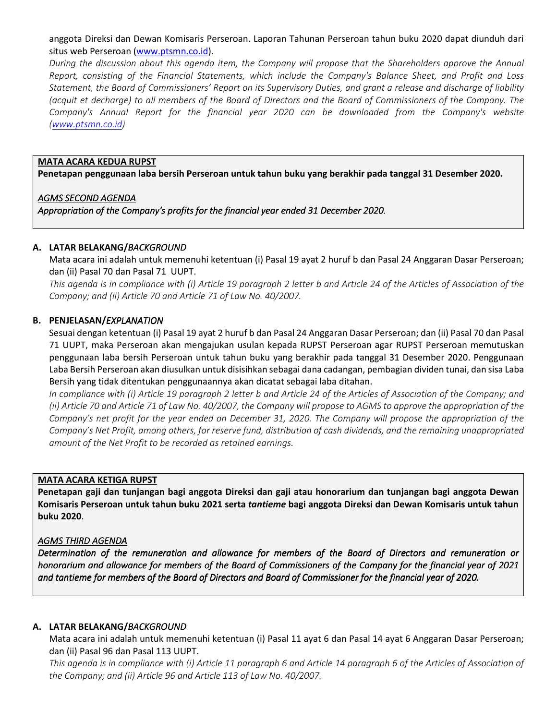anggota Direksi dan Dewan Komisaris Perseroan. Laporan Tahunan Perseroan tahun buku 2020 dapat diunduh dari situs web Perseroan (www.ptsmn.co.id).

During the discussion about this agenda item, the Company will propose that the Shareholders approve the Annual Report, consisting of the Financial Statements, which include the Company's Balance Sheet, and Profit and Loss Statement, the Board of Commissioners' Report on its Supervisory Duties, and grant a release and discharge of liability (acquit et decharge) to all members of the Board of Directors and the Board of Commissioners of the Company. The Company's Annual Report for the financial year 2020 can be downloaded from the Company's website (www.ptsmn.co.id)

### MATA ACARA KEDUA RUPST

Penetapan penggunaan laba bersih Perseroan untuk tahun buku yang berakhir pada tanggal 31 Desember 2020.

## AGMS SECOND AGENDA

Appropriation of the Company's profits for the financial year ended 31 December 2020.

### A. LATAR BELAKANG/BACKGROUND

Mata acara ini adalah untuk memenuhi ketentuan (i) Pasal 19 ayat 2 huruf b dan Pasal 24 Anggaran Dasar Perseroan; dan (ii) Pasal 70 dan Pasal 71 UUPT.

This agenda is in compliance with (i) Article 19 paragraph 2 letter b and Article 24 of the Articles of Association of the Company; and (ii) Article 70 and Article 71 of Law No. 40/2007.

### B. PENJELASAN/EXPLANATION

Sesuai dengan ketentuan (i) Pasal 19 ayat 2 huruf b dan Pasal 24 Anggaran Dasar Perseroan; dan (ii) Pasal 70 dan Pasal 71 UUPT, maka Perseroan akan mengajukan usulan kepada RUPST Perseroan agar RUPST Perseroan memutuskan penggunaan laba bersih Perseroan untuk tahun buku yang berakhir pada tanggal 31 Desember 2020. Penggunaan Laba Bersih Perseroan akan diusulkan untuk disisihkan sebagai dana cadangan, pembagian dividen tunai, dan sisa Laba Bersih yang tidak ditentukan penggunaannya akan dicatat sebagai laba ditahan.

In compliance with (i) Article 19 paragraph 2 letter b and Article 24 of the Articles of Association of the Company; and (ii) Article 70 and Article 71 of Law No. 40/2007, the Company will propose to AGMS to approve the appropriation of the Company's net profit for the year ended on December 31, 2020. The Company will propose the appropriation of the Company's Net Profit, among others, for reserve fund, distribution of cash dividends, and the remaining unappropriated amount of the Net Profit to be recorded as retained earnings.

#### MATA ACARA KETIGA RUPST

Penetapan gaji dan tunjangan bagi anggota Direksi dan gaji atau honorarium dan tunjangan bagi anggota Dewan Komisaris Perseroan untuk tahun buku 2021 serta tantieme bagi anggota Direksi dan Dewan Komisaris untuk tahun buku 2020.

#### **AGMS THIRD AGENDA**

Determination of the remuneration and allowance for members of the Board of Directors and remuneration or honorarium and allowance for members of the Board of Commissioners of the Company for the financial year of 2021 and tantieme for members of the Board of Directors and Board of Commissioner for the financial year of 2020.

#### A. LATAR BELAKANG/BACKGROUND

Mata acara ini adalah untuk memenuhi ketentuan (i) Pasal 11 ayat 6 dan Pasal 14 ayat 6 Anggaran Dasar Perseroan; dan (ii) Pasal 96 dan Pasal 113 UUPT.

This agenda is in compliance with (i) Article 11 paragraph 6 and Article 14 paragraph 6 of the Articles of Association of the Company; and (ii) Article 96 and Article 113 of Law No. 40/2007.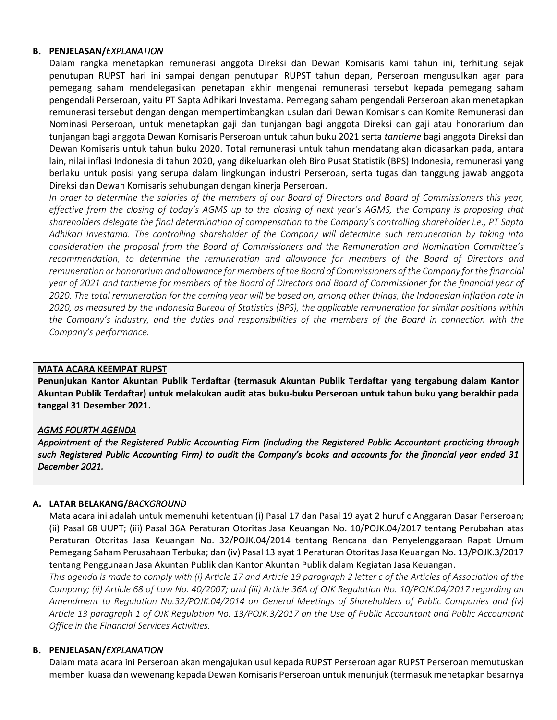### B. PENJELASAN/EXPLANATION

Dalam rangka menetapkan remunerasi anggota Direksi dan Dewan Komisaris kami tahun ini, terhitung sejak penutupan RUPST hari ini sampai dengan penutupan RUPST tahun depan, Perseroan mengusulkan agar para pemegang saham mendelegasikan penetapan akhir mengenai remunerasi tersebut kepada pemegang saham pengendali Perseroan, yaitu PT Sapta Adhikari Investama. Pemegang saham pengendali Perseroan akan menetapkan remunerasi tersebut dengan dengan mempertimbangkan usulan dari Dewan Komisaris dan Komite Remunerasi dan Nominasi Perseroan, untuk menetapkan gaji dan tunjangan bagi anggota Direksi dan gaji atau honorarium dan tunjangan bagi anggota Dewan Komisaris Perseroan untuk tahun buku 2021 serta tantieme bagi anggota Direksi dan Dewan Komisaris untuk tahun buku 2020. Total remunerasi untuk tahun mendatang akan didasarkan pada, antara lain, nilai inflasi Indonesia di tahun 2020, yang dikeluarkan oleh Biro Pusat Statistik (BPS) Indonesia, remunerasi yang berlaku untuk posisi yang serupa dalam lingkungan industri Perseroan, serta tugas dan tanggung jawab anggota Direksi dan Dewan Komisaris sehubungan dengan kinerja Perseroan.

In order to determine the salaries of the members of our Board of Directors and Board of Commissioners this year, effective from the closing of today's AGMS up to the closing of next year's AGMS, the Company is proposing that shareholders delegate the final determination of compensation to the Company's controlling shareholder i.e., PT Sapta Adhikari Investama. The controlling shareholder of the Company will determine such remuneration by taking into consideration the proposal from the Board of Commissioners and the Remuneration and Nomination Committee's recommendation, to determine the remuneration and allowance for members of the Board of Directors and remuneration or honorarium and allowance for members of the Board of Commissioners of the Company for the financial year of 2021 and tantieme for members of the Board of Directors and Board of Commissioner for the financial year of 2020. The total remuneration for the coming year will be based on, among other things, the Indonesian inflation rate in 2020, as measured by the Indonesia Bureau of Statistics (BPS), the applicable remuneration for similar positions within the Company's industry, and the duties and responsibilities of the members of the Board in connection with the Company's performance.

## MATA ACARA KEEMPAT RUPST

Penunjukan Kantor Akuntan Publik Terdaftar (termasuk Akuntan Publik Terdaftar yang tergabung dalam Kantor Akuntan Publik Terdaftar) untuk melakukan audit atas buku-buku Perseroan untuk tahun buku yang berakhir pada tanggal 31 Desember 2021.

## **AGMS FOURTH AGENDA**

Appointment of the Registered Public Accounting Firm (including the Registered Public Accountant practicing through such Registered Public Accounting Firm) to audit the Company's books and accounts for the financial year ended 31 December 2021.

## A. LATAR BELAKANG/BACKGROUND

Mata acara ini adalah untuk memenuhi ketentuan (i) Pasal 17 dan Pasal 19 ayat 2 huruf c Anggaran Dasar Perseroan; (ii) Pasal 68 UUPT; (iii) Pasal 36A Peraturan Otoritas Jasa Keuangan No. 10/POJK.04/2017 tentang Perubahan atas Peraturan Otoritas Jasa Keuangan No. 32/POJK.04/2014 tentang Rencana dan Penyelenggaraan Rapat Umum Pemegang Saham Perusahaan Terbuka; dan (iv) Pasal 13 ayat 1 Peraturan Otoritas Jasa Keuangan No. 13/POJK.3/2017 tentang Penggunaan Jasa Akuntan Publik dan Kantor Akuntan Publik dalam Kegiatan Jasa Keuangan.

This agenda is made to comply with (i) Article 17 and Article 19 paragraph 2 letter c of the Articles of Association of the Company; (ii) Article 68 of Law No. 40/2007; and (iii) Article 36A of OJK Regulation No. 10/POJK.04/2017 regarding an Amendment to Regulation No.32/POJK.04/2014 on General Meetings of Shareholders of Public Companies and (iv) Article 13 paragraph 1 of OJK Regulation No. 13/POJK.3/2017 on the Use of Public Accountant and Public Accountant Office in the Financial Services Activities.

## B. PENJELASAN/EXPLANATION

Dalam mata acara ini Perseroan akan mengajukan usul kepada RUPST Perseroan agar RUPST Perseroan memutuskan memberi kuasa dan wewenang kepada Dewan Komisaris Perseroan untuk menunjuk (termasuk menetapkan besarnya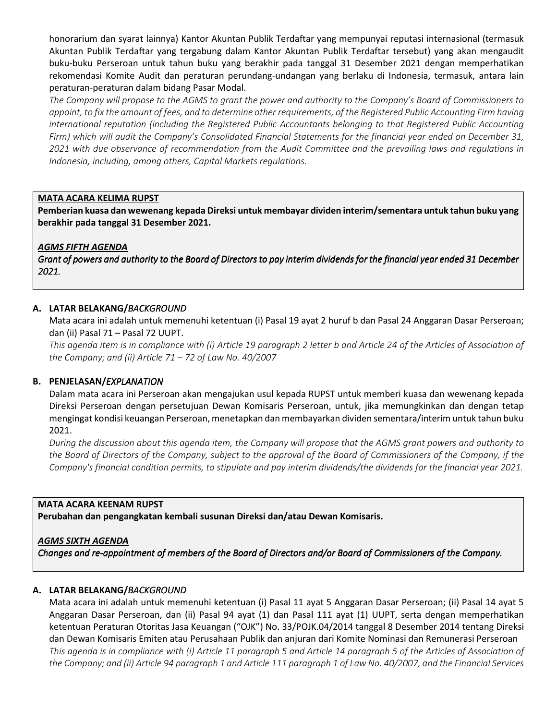honorarium dan syarat lainnya) Kantor Akuntan Publik Terdaftar yang mempunyai reputasi internasional (termasuk Akuntan Publik Terdaftar yang tergabung dalam Kantor Akuntan Publik Terdaftar tersebut) yang akan mengaudit buku-buku Perseroan untuk tahun buku yang berakhir pada tanggal 31 Desember 2021 dengan memperhatikan rekomendasi Komite Audit dan peraturan perundang-undangan yang berlaku di Indonesia, termasuk, antara lain peraturan-peraturan dalam bidang Pasar Modal.

The Company will propose to the AGMS to grant the power and authority to the Company's Board of Commissioners to appoint, to fix the amount of fees, and to determine other requirements, of the Registered Public Accounting Firm having international reputation (including the Registered Public Accountants belonging to that Registered Public Accounting Firm) which will audit the Company's Consolidated Financial Statements for the financial year ended on December 31, 2021 with due observance of recommendation from the Audit Committee and the prevailing laws and regulations in Indonesia, including, among others, Capital Markets regulations.

## MATA ACARA KELIMA RUPST

Pemberian kuasa dan wewenang kepada Direksi untuk membayar dividen interim/sementara untuk tahun buku yang berakhir pada tanggal 31 Desember 2021.

### AGMS FIFTH AGENDA

Grant of powers and authority to the Board of Directors to pay interim dividends for the financial year ended 31 December 2021.

### A. LATAR BELAKANG/BACKGROUND

Mata acara ini adalah untuk memenuhi ketentuan (i) Pasal 19 ayat 2 huruf b dan Pasal 24 Anggaran Dasar Perseroan; dan (ii) Pasal 71 – Pasal 72 UUPT.

This agenda item is in compliance with (i) Article 19 paragraph 2 letter b and Article 24 of the Articles of Association of the Company; and (ii) Article  $71 - 72$  of Law No. 40/2007

## B. PENJELASAN/EXPLANATION

Dalam mata acara ini Perseroan akan mengajukan usul kepada RUPST untuk memberi kuasa dan wewenang kepada Direksi Perseroan dengan persetujuan Dewan Komisaris Perseroan, untuk, jika memungkinkan dan dengan tetap mengingat kondisi keuangan Perseroan, menetapkan dan membayarkan dividen sementara/interim untuk tahun buku 2021.

During the discussion about this agenda item, the Company will propose that the AGMS grant powers and authority to the Board of Directors of the Company, subject to the approval of the Board of Commissioners of the Company, if the Company's financial condition permits, to stipulate and pay interim dividends/the dividends for the financial year 2021.

#### MATA ACARA KEENAM RUPST

Perubahan dan pengangkatan kembali susunan Direksi dan/atau Dewan Komisaris.

#### AGMS SIXTH AGENDA

Changes and re-appointment of members of the Board of Directors and/or Board of Commissioners of the Company.

#### A. LATAR BELAKANG/BACKGROUND

Mata acara ini adalah untuk memenuhi ketentuan (i) Pasal 11 ayat 5 Anggaran Dasar Perseroan; (ii) Pasal 14 ayat 5 Anggaran Dasar Perseroan, dan (ii) Pasal 94 ayat (1) dan Pasal 111 ayat (1) UUPT, serta dengan memperhatikan ketentuan Peraturan Otoritas Jasa Keuangan ("OJK") No. 33/POJK.04/2014 tanggal 8 Desember 2014 tentang Direksi dan Dewan Komisaris Emiten atau Perusahaan Publik dan anjuran dari Komite Nominasi dan Remunerasi Perseroan This agenda is in compliance with (i) Article 11 paragraph 5 and Article 14 paragraph 5 of the Articles of Association of the Company; and (ii) Article 94 paragraph 1 and Article 111 paragraph 1 of Law No. 40/2007, and the Financial Services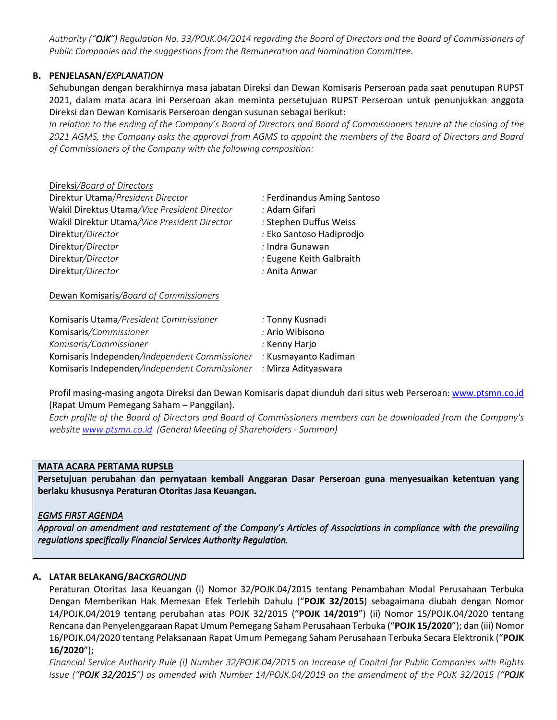Authority ("OJK") Regulation No. 33/POJK.04/2014 regarding the Board of Directors and the Board of Commissioners of Public Companies and the suggestions from the Remuneration and Nomination Committee.

# **B. PENJELASAN/EXPLANATION**

Sehubungan dengan berakhirnya masa jabatan Direksi dan Dewan Komisaris Perseroan pada saat penutupan RUPST 2021, dalam mata acara ini Perseroan akan meminta persetujuan RUPST Perseroan untuk penunjukkan anggota Direksi dan Dewan Komisaris Perseroan dengan susunan sebagai berikut:

In relation to the ending of the Company's Board of Directors and Board of Commissioners tenure at the closing of the 2021 AGMS, the Company asks the approval from AGMS to appoint the members of the Board of Directors and Board of Commissioners of the Company with the following composition:

## Direksi/Board of Directors

| Direktur Utama/President Director            | : Ferdinandus Aming Santoso |
|----------------------------------------------|-----------------------------|
| Wakil Direktus Utama/Vice President Director | : Adam Gifari               |
| Wakil Direktur Utama/Vice President Director | : Stephen Duffus Weiss      |
| Direktur/Director                            | : Eko Santoso Hadiprodjo    |
| Direktur/Director                            | : Indra Gunawan             |
| Direktur/Director                            | : Eugene Keith Galbraith    |
| Direktur/Director                            | : Anita Anwar               |
|                                              |                             |

### Dewan Komisaris/Board of Commissioners

| Komisaris Utama/President Commissioner        | : Tonny Kusnadi      |
|-----------------------------------------------|----------------------|
| Komisaris/Commissioner                        | : Ario Wibisono      |
| Komisaris/Commissioner                        | : Kenny Harjo        |
| Komisaris Independen/Independent Commissioner | : Kusmayanto Kadiman |
| Komisaris Independen/Independent Commissioner | : Mirza Adityaswara  |

Profil masing-masing angota Direksi dan Dewan Komisaris dapat diunduh dari situs web Perseroan: www.ptsmn.co.id (Rapat Umum Pemegang Saham – Panggilan).

Each profile of the Board of Directors and Board of Commissioners members can be downloaded from the Company's website www.ptsmn.co.id (General Meeting of Shareholders - Summon)

## MATA ACARA PERTAMA RUPSLB

Persetujuan perubahan dan pernyataan kembali Anggaran Dasar Perseroan guna menyesuaikan ketentuan yang berlaku khususnya Peraturan Otoritas Jasa Keuangan.

## **EGMS FIRST AGENDA**

Approval on amendment and restatement of the Company's Articles of Associations in compliance with the prevailing regulations specifically Financial Services Authority Regulation.

## A. LATAR BELAKANG/BACKGROUND

Peraturan Otoritas Jasa Keuangan (i) Nomor 32/POJK.04/2015 tentang Penambahan Modal Perusahaan Terbuka Dengan Memberikan Hak Memesan Efek Terlebih Dahulu ("POJK 32/2015) sebagaimana diubah dengan Nomor 14/POJK.04/2019 tentang perubahan atas POJK 32/2015 ("POJK 14/2019") (ii) Nomor 15/POJK.04/2020 tentang Rencana dan Penyelenggaraan Rapat Umum Pemegang Saham Perusahaan Terbuka ("POJK 15/2020"); dan (iii) Nomor 16/POJK.04/2020 tentang Pelaksanaan Rapat Umum Pemegang Saham Perusahaan Terbuka Secara Elektronik ("POJK 16/2020");

Financial Service Authority Rule (i) Number 32/POJK.04/2015 on Increase of Capital for Public Companies with Rights Issue ("POJK 32/2015") as amended with Number 14/POJK.04/2019 on the amendment of the POJK 32/2015 ("POJK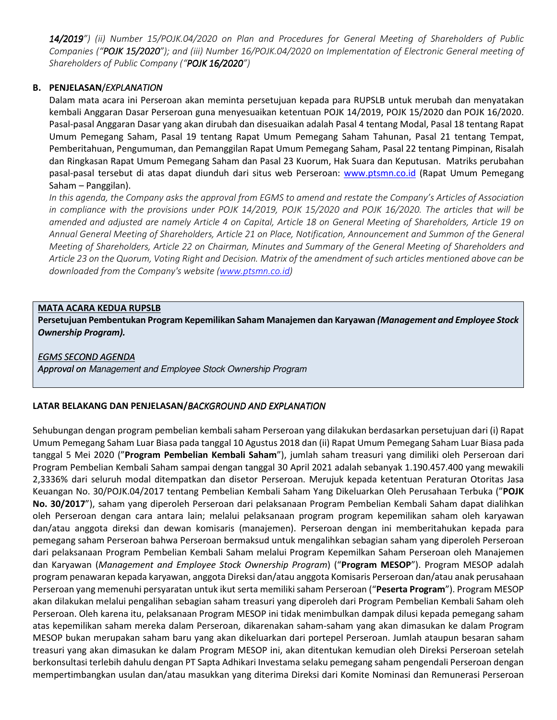14/2019") (ii) Number 15/POJK.04/2020 on Plan and Procedures for General Meeting of Shareholders of Public Companies ("POJK 15/2020"); and (iii) Number 16/POJK.04/2020 on Implementation of Electronic General meeting of Shareholders of Public Company ("POJK 16/2020")

# B. PENJELASAN/EXPLANATION

Dalam mata acara ini Perseroan akan meminta persetujuan kepada para RUPSLB untuk merubah dan menyatakan kembali Anggaran Dasar Perseroan guna menyesuaikan ketentuan POJK 14/2019, POJK 15/2020 dan POJK 16/2020. Pasal-pasal Anggaran Dasar yang akan dirubah dan disesuaikan adalah Pasal 4 tentang Modal, Pasal 18 tentang Rapat Umum Pemegang Saham, Pasal 19 tentang Rapat Umum Pemegang Saham Tahunan, Pasal 21 tentang Tempat, Pemberitahuan, Pengumuman, dan Pemanggilan Rapat Umum Pemegang Saham, Pasal 22 tentang Pimpinan, Risalah dan Ringkasan Rapat Umum Pemegang Saham dan Pasal 23 Kuorum, Hak Suara dan Keputusan. Matriks perubahan pasal-pasal tersebut di atas dapat diunduh dari situs web Perseroan: www.ptsmn.co.id (Rapat Umum Pemegang Saham – Panggilan).

In this agenda, the Company asks the approval from EGMS to amend and restate the Company's Articles of Association in compliance with the provisions under POJK 14/2019, POJK 15/2020 and POJK 16/2020. The articles that will be amended and adjusted are namely Article 4 on Capital, Article 18 on General Meeting of Shareholders, Article 19 on Annual General Meeting of Shareholders, Article 21 on Place, Notification, Announcement and Summon of the General Meeting of Shareholders, Article 22 on Chairman, Minutes and Summary of the General Meeting of Shareholders and Article 23 on the Quorum, Voting Right and Decision. Matrix of the amendment of such articles mentioned above can be downloaded from the Company's website (www.ptsmn.co.id)

## MATA ACARA KEDUA RUPSLB

Persetujuan Pembentukan Program Kepemilikan Saham Manajemen dan Karyawan (Management and Employee Stock Ownership Program).

### **EGMS SECOND AGENDA**

Approval on Management and Employee Stock Ownership Program

## LATAR BELAKANG DAN PENJELASAN/BACKGROUND AND EXPLANATION

Sehubungan dengan program pembelian kembali saham Perseroan yang dilakukan berdasarkan persetujuan dari (i) Rapat Umum Pemegang Saham Luar Biasa pada tanggal 10 Agustus 2018 dan (ii) Rapat Umum Pemegang Saham Luar Biasa pada tanggal 5 Mei 2020 ("Program Pembelian Kembali Saham"), jumlah saham treasuri yang dimiliki oleh Perseroan dari Program Pembelian Kembali Saham sampai dengan tanggal 30 April 2021 adalah sebanyak 1.190.457.400 yang mewakili 2,3336% dari seluruh modal ditempatkan dan disetor Perseroan. Merujuk kepada ketentuan Peraturan Otoritas Jasa Keuangan No. 30/POJK.04/2017 tentang Pembelian Kembali Saham Yang Dikeluarkan Oleh Perusahaan Terbuka ("POJK No. 30/2017"), saham yang diperoleh Perseroan dari pelaksanaan Program Pembelian Kembali Saham dapat dialihkan oleh Perseroan dengan cara antara lain; melalui pelaksanaan program program kepemilikan saham oleh karyawan dan/atau anggota direksi dan dewan komisaris (manajemen). Perseroan dengan ini memberitahukan kepada para pemegang saham Perseroan bahwa Perseroan bermaksud untuk mengalihkan sebagian saham yang diperoleh Perseroan dari pelaksanaan Program Pembelian Kembali Saham melalui Program Kepemilkan Saham Perseroan oleh Manajemen dan Karyawan (Management and Employee Stock Ownership Program) ("Program MESOP"). Program MESOP adalah program penawaran kepada karyawan, anggota Direksi dan/atau anggota Komisaris Perseroan dan/atau anak perusahaan Perseroan yang memenuhi persyaratan untuk ikut serta memiliki saham Perseroan ("Peserta Program"). Program MESOP akan dilakukan melalui pengalihan sebagian saham treasuri yang diperoleh dari Program Pembelian Kembali Saham oleh Perseroan. Oleh karena itu, pelaksanaan Program MESOP ini tidak menimbulkan dampak dilusi kepada pemegang saham atas kepemilikan saham mereka dalam Perseroan, dikarenakan saham-saham yang akan dimasukan ke dalam Program MESOP bukan merupakan saham baru yang akan dikeluarkan dari portepel Perseroan. Jumlah ataupun besaran saham treasuri yang akan dimasukan ke dalam Program MESOP ini, akan ditentukan kemudian oleh Direksi Perseroan setelah berkonsultasi terlebih dahulu dengan PT Sapta Adhikari Investama selaku pemegang saham pengendali Perseroan dengan mempertimbangkan usulan dan/atau masukkan yang diterima Direksi dari Komite Nominasi dan Remunerasi Perseroan